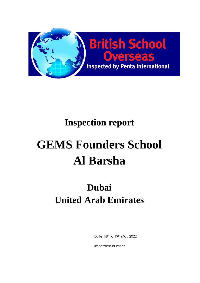

# **Inspection report**

# **GEMS Founders School Al Barsha**

# **Dubai United Arab Emirates**

Date 16th to 19th May 2022

Inspection number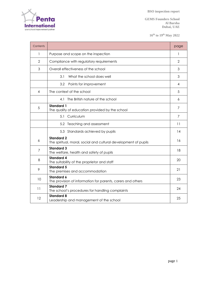

**GEMS Founders School Al Barsha Dubai, UAE**

**16th to 19 th May 2022**

| Contents       |                                                                                      | page           |  |  |  |
|----------------|--------------------------------------------------------------------------------------|----------------|--|--|--|
| 1              | Purpose and scope on the inspection                                                  |                |  |  |  |
| $\overline{2}$ | Compliance with regulatory requirements                                              | $\overline{2}$ |  |  |  |
| 3              | Overall effectiveness of the school                                                  | 3              |  |  |  |
|                | 3.1<br>What the school does well                                                     | 3              |  |  |  |
|                | 3.2<br>Points for improvement                                                        | 4              |  |  |  |
| 4              | The context of the school                                                            | 5              |  |  |  |
|                | The British nature of the school<br>4.1                                              | 6              |  |  |  |
| 5              | <b>Standard 1</b><br>The quality of education provided by the school                 | 7              |  |  |  |
|                | 5.1 Curriculum                                                                       | $\overline{7}$ |  |  |  |
|                | 5.2 Teaching and assessment                                                          | 11             |  |  |  |
|                | 5.3 Standards achieved by pupils                                                     | 14             |  |  |  |
| 6              | <b>Standard 2</b><br>The spiritual, moral, social and cultural development of pupils | 16             |  |  |  |
| $\overline{7}$ | <b>Standard 3</b><br>The welfare, health and safety of pupils                        | 18             |  |  |  |
| 8              | <b>Standard 4</b><br>The suitability of the proprietor and staff                     | 20             |  |  |  |
| 9              | <b>Standard 5</b><br>The premises and accommodation                                  | 21             |  |  |  |
| 10             | <b>Standard 6</b><br>The provision of information for parents, carers and others     | 23             |  |  |  |
| 11             | <b>Standard 7</b><br>The school's procedures for handling complaints                 | 24             |  |  |  |
| 12             | <b>Standard 8</b><br>Leadership and management of the school                         | 25             |  |  |  |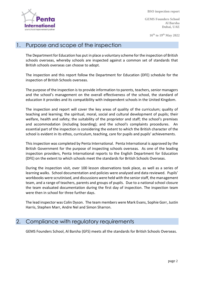

**GEMS Founders School Al Barsha Dubai, UAE**

**16th to 19 th May 2022**

#### 1. Purpose and scope of the inspection

The Department for Education has put in place a voluntary scheme for the inspection of British schools overseas, whereby schools are inspected against a common set of standards that British schools overseas can choose to adopt.

The inspection and this report follow the Department for Education (DFE) schedule for the inspection of British Schools overseas.

The purpose of the inspection is to provide information to parents, teachers, senior managers and the school's management on the overall effectiveness of the school, the standard of education it provides and its compatibility with independent schools in the United Kingdom.

The inspection and report will cover the key areas of quality of the curriculum; quality of teaching and learning; the spiritual, moral, social and cultural development of pupils; their welfare, health and safety; the suitability of the proprietor and staff; the school's premises and accommodation (including boarding); and the school's complaints procedures. An essential part of the inspection is considering the extent to which the British character of the school is evident in its ethos, curriculum, teaching, care for pupils and pupils' achievements.

This inspection was completed by Penta International. Penta International is approved by the British Government for the purpose of inspecting schools overseas. As one of the leading inspection providers, Penta International reports to the English Department for Education (DFE) on the extent to which schools meet the standards for British Schools Overseas.

During the inspection visit, over 100 lesson observations took place, as well as a series of learning walks. School documentation and policies were analysed and data reviewed. Pupils' workbooks were scrutinised, and discussions were held with the senior staff, the management team, and a range of teachers, parents and groups of pupils. Due to a national school closure the team evaluated documentation during the first day of inspection. The inspection team were then in school for three further days.

The lead inspector was Colin Dyson. The team members were Mark Evans, Sophie Gorr, Justin Harris, Stephen Marr, Andre Nel and Simon Sharron.

#### 2. Compliance with regulatory requirements

GEMS Founders School, Al Barsha (GFS) meets all the standards for British Schools Overseas.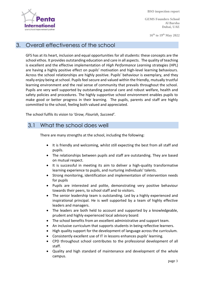

**GEMS Founders School Al Barsha Dubai, UAE**

**16th to 19 th May 2022**

#### 3. Overall effectiveness of the school

GFS has at its heart, inclusion and equal opportunities for all students: these concepts are the school ethos. It provides outstanding education and care in all aspects. The quality of teaching is excellent and the effective implementation of *High Performance Learning* strategies (HPL) are having a highly positive effect on pupils' motivation and high-level learning behaviours. Across the school relationships are highly positive. Pupils' behaviour is exemplary, and they really enjoy being at school. Pupils feel secure and valued within the friendly, mutually trustful learning environment and the real sense of community that prevails throughout the school. Pupils are very well supported by outstanding pastoral care and robust welfare, health and safety policies and procedures. The highly supportive school environment enables pupils to make good or better progress in their learning. The pupils, parents and staff are highly committed to the school, feeling both valued and appreciated.

The school fulfils its vision to '*Grow, Flourish, Succeed'*.

#### 3.1 What the school does well

There are many strengths at the school, including the following:

- It is friendly and welcoming, whilst still expecting the best from all staff and pupils.
- The relationships between pupils and staff are outstanding. They are based on mutual respect.
- It is successful in meeting its aim to deliver a high-quality transformative learning experience to pupils, and nurturing individuals' talents.
- Strong monitoring, identification and implementation of intervention needs for pupils
- Pupils are interested and polite, demonstrating very positive behaviour towards their peers, to school staff and to visitors.
- The senior leadership team is outstanding. Led by a highly experienced and inspirational principal. He is well supported by a team of highly effective leaders and managers.
- The leaders are both held to account and supported by a knowledgeable, prudent and highly experienced local advisory board.
- The school benefits from an excellent administrative and support team.
- An inclusive curriculum that supports students in being reflective learners.
- High quality support for the development of language across the curriculum.
- Consistently excellent use of IT in lessons enhances pupils' learning.
- CPD throughout school contributes to the professional development of all staff.
- Quality and high standard of maintenance and development of the whole campus.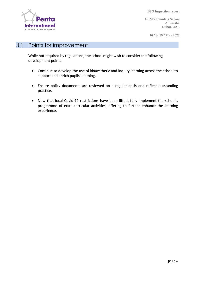

**GEMS Founders School Al Barsha Dubai, UAE**

**16th to 19 th May 2022**

# 3.1 Points for improvement

While not required by regulations, the school might wish to consider the following development points:

- Continue to develop the use of kinaesthetic and inquiry learning across the school to support and enrich pupils' learning.
- Ensure policy documents are reviewed on a regular basis and reflect outstanding practice.
- Now that local Covid-19 restrictions have been lifted, fully implement the school's programme of extra-curricular activities, offering to further enhance the learning experience.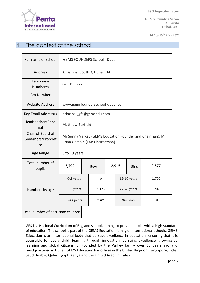

**GEMS Founders School Al Barsha Dubai, UAE**

**16th to 19 th May 2022**

# 4. The context of the school

| Full name of School                           | <b>GEMS FOUNDERS School - Dubai</b>                                                         |  |             |  |             |       |       |  |
|-----------------------------------------------|---------------------------------------------------------------------------------------------|--|-------------|--|-------------|-------|-------|--|
| Address                                       | Al Barsha, South 3, Dubai, UAE.                                                             |  |             |  |             |       |       |  |
| Telephone<br>Number/s                         | 04 519 5222                                                                                 |  |             |  |             |       |       |  |
| <b>Fax Number</b>                             | $\overline{a}$                                                                              |  |             |  |             |       |       |  |
| <b>Website Address</b>                        | www.gemsfoundersschool-dubai.com                                                            |  |             |  |             |       |       |  |
| Key Email Address/s                           | principal_gfs@gemsedu.com                                                                   |  |             |  |             |       |       |  |
| Headteacher/Princi<br>pal                     | <b>Matthew Burfield</b>                                                                     |  |             |  |             |       |       |  |
| Chair of Board of<br>Governors/Propriet<br>or | Mr Sunny Varkey (GEMS Education Founder and Chairman), Mr<br>Brian Gambin (LAB Chairperson) |  |             |  |             |       |       |  |
| Age Range                                     | 3 to 19 years                                                                               |  |             |  |             |       |       |  |
| Total number of<br>pupils                     | 5,792                                                                                       |  | <b>Boys</b> |  | 2,915       | Girls | 2,877 |  |
|                                               | 0-2 years                                                                                   |  | $\mathbf 0$ |  | 12-16 years |       | 1,756 |  |
| Numbers by age                                | 3-5 years                                                                                   |  | 1,125       |  | 17-18 years |       | 202   |  |
|                                               | 6-11 years                                                                                  |  | 2,201       |  | 18+ years   |       | 8     |  |
| Total number of part-time children            |                                                                                             |  | 0           |  |             |       |       |  |

GFS is a National Curriculum of England school, aiming to provide pupils with a high standard of education. The school is part of the GEMS Education family of international schools. GEMS Education is an international body that pursues excellence in education, ensuring that it is accessible for every child, learning through innovation, pursuing excellence, growing by learning and global citizenship. Founded by the Varkey family over 50 years ago and headquartered in Dubai, GEMS Education has offices in the United Kingdom, Singapore, India, Saudi Arabia, Qatar, Egypt, Kenya and the United Arab Emirates.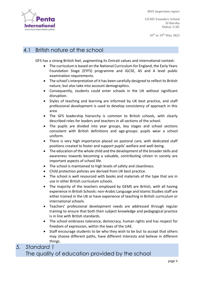

**GEMS Founders School Al Barsha Dubai, UAE**

**16th to 19 th May 2022**

# 4.1 British nature of the school

GFS has a strong British feel, augmenting its Emirati values and international context:

- The curriculum is based on the National Curriculum for England, the Early Years Foundation Stage (EYFS) programme and iGCSE, AS and A level public examination requirements.
- The school's interpretation of it has been carefully designed to reflect its British nature, but also take into account demographics.
- Consequently, students could enter schools in the UK without significant disruption.
- Styles of teaching and learning are informed by UK best practice, and staff professional development is used to develop consistency of approach in this area.
- The GFS leadership hierarchy is common to British schools, with clearly described roles for leaders and teachers in all sections of the school.
- The pupils are divided into year groups, key stages and school sections consistent with British definitions and age-groups: pupils wear a school uniform.
- There is very high importance placed on pastoral care, with dedicated staff positions created to foster and support pupils' welfare and well-being.
- The education of the whole child and the development of the broader skills and awareness towards becoming a valuable, contributing citizen in society are important aspects of school life.
- The school is maintained to high levels of safety and cleanliness.
- Child protection policies are derived from UK best practice.
- The school is well resourced with books and materials of the type that are in use in other British curriculum schools.
- The majority of the teachers employed by GEMS are British, with all having experience in British Schools: non-Arabic Language and Islamic Studies staff are either trained in the UK or have experience of teaching in British curriculum or international schools.
- Teachers' professional development needs are addressed through regular training to ensure that both their subject knowledge and pedagogical practice is in line with British standards.
- The school embraces tolerance, democracy, human rights and has respect for freedom of expression, within the laws of the UAE.
- Staff encourage students to be who they wish to be but to accept that others may choose different paths, have different interests and believe in different things.

# *5. Standard 1* The quality of education provided by the school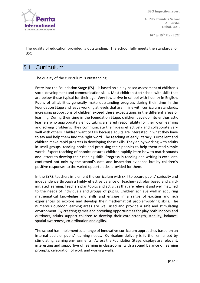

**GEMS Founders School Al Barsha Dubai, UAE**

**16th to 19 th May 2022**

The quality of education provided is outstanding. The school fully meets the standards for BSO.

#### 5.1 Curriculum

The quality of the curriculum is outstanding.

Entry into the Foundation Stage (FS) 1 is based on a play-based assessment of children's social development and communication skills. Most children start school with skills that are below those typical for their age. Very few arrive in school with fluency in English. Pupils of all abilities generally make outstanding progress during their time in the Foundation Stage and leave working at levels that are in line with curriculum standards: increasing proportions of children exceed these expectations in the different areas of learning. During their time in the Foundation Stage, children develop into enthusiastic learners who appropriately enjoy taking a shared responsibility for their own learning and solving problems. They communicate their ideas effectively and collaborate very well with others. Children want to talk because adults are interested in what they have to say and help them find the right word. The teaching of early literacy is excellent and children make rapid progress in developing these skills. They enjoy working with adults in small groups, reading books and practising their phonics to help them read simple words. Expert teaching of phonics ensures children rapidly learn how to match sounds and letters to develop their reading skills. Progress in reading and writing is excellent, confirmed not only by the school's data and inspection evidence but by children's positive responses to the varied opportunities provided for them.

In the EYFS, teachers implement the curriculum with skill to secure pupils' curiosity and independence through a highly effective balance of teacher-led, play based and childinitiated learning. Teachers plan topics and activities that are relevant and well matched to the needs of individuals and groups of pupils. Children achieve well in acquiring mathematical knowledge and skills and engage in a range of exciting and rich experiences to explore and develop their mathematical problem-solving skills. The numerous outdoor learning areas are well used and provide a safe and stimulating environment. By creating games and providing opportunities for play both indoors and outdoors, adults support children to develop their core strength, stability, balance, spatial awareness, co-ordination and agility.

The school has implemented a range of innovative curriculum approaches based on an internal audit of pupils' learning needs. Curriculum delivery is further enhanced by stimulating learning environments. Across the Foundation Stage, displays are relevant, interesting and supportive of learning in classrooms, with a sound balance of learning prompts, celebration of work and working walls.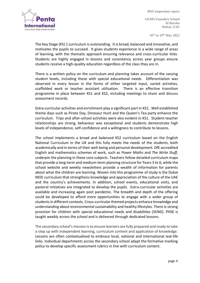

**GEMS Founders School Al Barsha Dubai, UAE**

**16th to 19 th May 2022**

The Key Stage (KS) 1 curriculum is outstanding. It is broad, balanced and innovative, and motivates the pupils to succeed. It gives students experience in a wide range of areas of learning, with the thematic approach ensuring relevance and cross-curricular links. Students are highly engaged in lessons and consistency across year groups ensure students receive a high-quality education regardless of the class they are in.

There is a written policy on the curriculum and planning takes account of the varying student levels, including those with special educational needs. Differentiation was observed in every lesson in the forms of either targeted input, varied activities, scaffolded work or teacher assistant utilisation. There is an effective transition programme in place between KS1 and KS2, including meetings to share and discuss assessment records.

Extra-curricular activities and enrichment play a significant part in KS1. Well established theme days such as Pirate Day, Dinosaur Hunt and the Queen's Tea party enhance the curriculum. Trips and after-school activities were also evident in KS1. Student-teacher relationships are strong, behaviour was exceptional and students demonstrate high levels of independence, self-confidence and a willingness to contribute to lessons.

The school implements a broad and balanced KS2 curriculum based on the English National Curriculum in the UK and this fully meets the needs of the students, both academically and in terms of their well-being and personal development. DfE accredited English and mathematics schemes of work, such as *Power Maths* and *The Write Stuff*, underpin the planning in these core subjects. Teachers follow detailed curriculum maps that provide a long-term and medium-term planning structure for Years 3 to 6, while the school website and weekly newsletters provide a wealth of information for parents about what the children are learning. Woven into this programme of study is the Dubai MOE curriculum that strengthens knowledge and appreciation of the culture of the UAE and the country's achievements. In addition, school events, educational visits, and pastoral initiatives are integrated to develop the pupils. Extra-curricular activities are available and increasing again post pandemic. The breadth and depth of the offering could be developed to afford more opportunities to engage with a wider group of students in different contexts. Cross-curricular themed projects enhance knowledge and understanding about environmental sustainability and healthy lifestyles. There is strong provision for children with special educational needs and disabilities (SEND). PHSE is taught weekly across the school and is delivered through dedicated lessons.

The secondary school's mission is to ensure learners are fully prepared and ready to take a step up with independent learning, curriculum content and application of knowledge. Lessons are often contextualised to embrace local, national and international real-life links. Individual departments across the secondary school adapt the formative marking policy to develop specific assessment rubrics in line with curriculum content.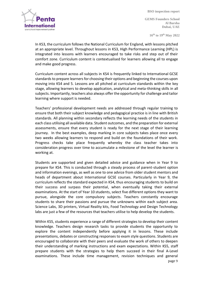

**GEMS Founders School Al Barsha Dubai, UAE**

**16th to 19 th May 2022**

In KS3, the curriculum follows the National Curriculum for England, with lessons pitched at an appropriate level. Throughout lessons in KS3, High Performance Learning (HPL) is integrated into lessons with learners encouraged to take risks and step out of their comfort zone. Curriculum content is contextualised for learners allowing all to engage and make good progress.

Curriculum content across all subjects in KS4 is frequently linked to International GCSE standards to prepare learners for choosing their options and beginning the courses upon moving into KS4 and 5. Lessons are all pitched at curriculum standards within the key stage, allowing learners to develop application, analytical and meta-thinking skills in all subjects. Importantly, teachers also always offer the opportunity for challenge and tailor learning where support is needed.

Teachers' professional development needs are addressed through regular training to ensure that both their subject knowledge and pedagogical practice is in line with British standards. All planning within secondary reflects the learning needs of the students in each class utilising all available data. Student outcomes, and the preparation for external assessments, ensure that every student is ready for the next stage of their learning journey. In the best examples, deep marking in core subjects takes place once every two weeks allowing learners to respond and build on the foundations of their work. Progress checks take place frequently whereby the class teacher takes into consideration progress over time to accumulate a milestone of the level the learner is working at.

Students are supported and given detailed advice and guidance when in Year 9 to prepare for KS4. This is conducted through a steady process of parent-student option and information evenings, as well as one to one advice from older student mentors and heads of department about International GCSE courses. Particularly in Year 9, the curriculum reflects the standard expected in KS4, thus encouraging students to build on their success and surpass their potential, when eventually taking their external examinations. At the start of Year 10 students, select five different options they want to pursue, alongside the core compulsory subjects. Teachers constantly encourage students to share their passions and pursue the unknowns within each subject area. Science Labs, 3D printers, Virtual Reality kits, Food Technology and Design Technology labs are just a few of the resources that teachers utilise to help develop the students.

page 9 Within KS5, students experience a range of different strategies to develop their content knowledge. Teachers design research tasks to provide students the opportunity to explore the content independently before applying it in lessons. These include presentations, debates or constructing responses to exam style questions. Students are encouraged to collaborate with their peers and evaluate the work of others to deepen their understanding of marking instructions and exam expectations. Within KS5, staff prepare students with the strategies to help them succeed in their final A-Level examinations. These include time management, revision techniques and general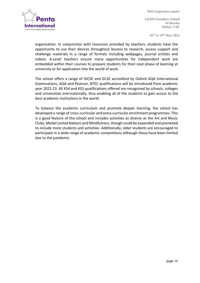

**GEMS Founders School Al Barsha Dubai, UAE**

**16th to 19 th May 2022**

organisation. In conjunction with resources provided by teachers, students have the opportunity to use their devices throughout lessons to research, access support and challenge materials in a range of formats including webpages, journal articles and videos. A-Level teachers ensure many opportunities for independent work are embedded within their courses to prepare students for their next phase of learning at university or for application into the world of work.

The school offers a range of IGCSE and GCSE accredited by Oxford AQA International Examinations, AQA and Pearson. BTEC qualifications will be introduced from academic year 2022-23. All KS4 and KS5 qualifications offered are recognised by schools, colleges and universities internationally, thus enabling all of the students to gain access to the best academic institutions in the world.

To balance the academic curriculum and promote deeper learning, the school has developed a range of cross-curricular and extra-curricular enrichment programmes. This is a good feature of the school and includes activities as diverse as the Art and Music Clubs, Model United Nations and Mindfulness, though could be expanded and promoted to include more students and activities. Additionally, older students are encouraged to participate in a wide range of academic competitions although these have been limited due to the pandemic.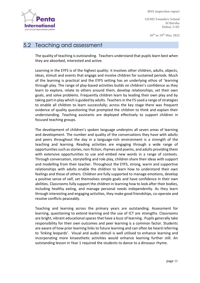

**GEMS Founders School Al Barsha Dubai, UAE**

**16th to 19 th May 2022**

#### 5.2 Teaching and assessment

The quality of teaching is outstanding. Teachers understand that pupils learn best when they are absorbed, interested and active.

Learning in the EYFS is of the highest quality: it involves other children, adults, objects, ideas, stimuli and events that engage and involve children for sustained periods. Much of the learning is practical and the EYFS setting has an underlying ethos of 'learning through play. The range of play-based activities builds on children's confidence as they learn to explore, relate to others around them, develop relationships, set their own goals, and solve problems. Frequently children learn by leading their own play and by taking part in play which is guided by adults. Teachers in the FS used a range of strategies to enable all children to learn successfully; across the key stage there was frequent evidence of quality questioning that prompted the children to think and explain their understanding. Teaching assistants are deployed effectively to support children in focused teaching groups.

The development of children's spoken language underpins all seven areas of learning and development. The number and quality of the conversations they have with adults and peers throughout the day in a language-rich environment is a strength of the teaching and learning. Reading activities are engaging through a wide range of opportunities such as stories, non-fiction, rhymes and poems, and adults providing them with extensive opportunities to use and embed new words in a range of contexts. Through conversation, storytelling and role play, children share their ideas with support and modelling from their teacher. Throughout the EYFS, strong, warm and supportive relationships with adults enable the children to learn how to understand their own feelings and those of others. Children are fully supported to manage emotions, develop a positive sense of self, set themselves simple goals and have confidence in their own abilities. Classrooms fully support the children in learning how to look after their bodies, including healthy eating, and manage personal needs independently. As they learn through interesting and engaging activities, they make good friendships, co-operate and resolve conflicts peaceably.

Teaching and learning across the primary years are outstanding. Assessment for learning, questioning to extend learning and the use of ICT are strengths. Classrooms are bright, vibrant educational spaces that have a buzz of learning. Pupils generally take responsibility for their own outcomes and peer learning is a common factor. Students are aware of how prior learning links to future learning and can often be heard referring to 'linking leopards'. Visual and audio stimuli is well utilised to enhance learning and incorporating more kinaesthetic activities would enhance learning further still. An outstanding lesson in Year 1 required the students to dance to a dinosaur rhyme.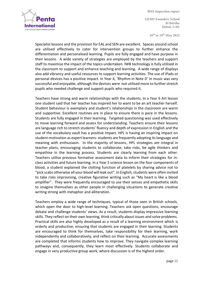

**GEMS Founders School Al Barsha Dubai, UAE**

**16th to 19 th May 2022**

Specialist lessons and the provision for EAL and SEN are excellent. Spaces around school are utilised effectively to cater for intervention groups to further enhance the differentiation and personalised learning. Pupils are fully engaged and have purpose in their lessons. A wide variety of strategies are employed by the teachers and support staff to maximise the impact of the topics undertaken. IWB technology is fully utilised in the classroom to support and enhance teaching and learning. A wide range of displays also add vibrancy and useful resources to support learning activities. The use of iPads or personal devices has a positive impact. In Year 4, 'Rhythm in Note D' in music was very successful and enjoyable, although the devices were not utilised more to further stretch pupils who needed challenge and support pupils who required it.

Teachers have strong and warm relationships with the students. In a Year 6 Art lesson one student said that her teacher has inspired her to want to be an art teacher herself. Student behaviour is exemplary and student's relationships in the classroom are warm and supportive. Excellent routines are in place to ensure there is pace in the lessons. Students are fully engaged in their learning. Targeted questioning was used effectively to move learning forward and assess for understanding. Teachers ensure their lessons are language rich to stretch students' fluency and depth of expression in English and the use of the vocabulary vault has a positive impact. HPL is having an inspiring impact on student motivation as expert learners: students are frequently adopting its language and meaning with enthusiasm. In the majority of lessons, HPL strategies are integral in teacher plans, encouraging students to collaborate, take risks, be agile thinkers and empathise in the learning process. Students are clearly learning from each other. Teachers utilise previous formative assessment data to inform their strategies for inclass activities and future learning. In a Year 5 science lesson on the four components of blood, a student explained the clotting function of platelets by sharing advice not to "pick scabs otherwise all your blood will leak out". In English, students were often invited to take risks improvising, creative figurative writing such as "My heart is like a blood amplifier". They were frequently encouraged to use their senses and empathetic skills to imagine themselves as other people in challenging situations to generate creative writing strong with metaphor and alliteration.

Teachers employ a wide range of techniques, typical of those seen in British schools, which open the door to high-level learning. Teachers ask open questions, encourage debate and challenge students' views. As a result, students display impressive learning skills. They reflect on their own learning, think critically about issues and solve problems. Practical skills are also highly developed as a result of a learning environment which is orderly and productive, ensuring that students are engaged in their learning. Students are encouraged to think for themselves, take responsibility for their learning, work independently and collaboratively, and reflect on their learning. Accurate assessments are completed that informs students how to improve. They navigate complex learning pathways and, consequently, they learn most effectively. Students collaborate and engage in very productive group work, where discussion is of the highest order.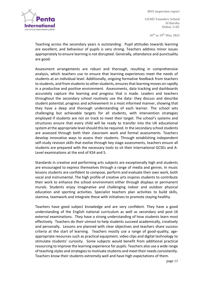ternatio your school improvement partne

**GEMS Founders School Al Barsha Dubai, UAE**

**16th to 19 th May 2022**

Teaching across the secondary years is outstanding. Pupil attitudes towards learning are excellent, and behaviour of pupils is very strong. Teachers address minor issues appropriately to ensure learning is not disrupted. Generally, attendance and punctuality are good.

Assessment arrangements are robust and thorough, resulting in comprehensive analysis, which teachers use to ensure that learning experiences meet the needs of students at an individual level. Additionally, ongoing formative feedback from teachers to students, and from students to other students, ensures that learning moves on rapidly in a productive and positive environment. Assessments, data tracking and dashboards accurately capture the learning and progress that is made. Leaders and teachers throughout the secondary school routinely use the data: they discuss and describe student potential, progress and achievement in a most informed manner, showing that they have a deep and thorough understanding of each learner. The school sets challenging but achievable targets for all students, with intervention strategies employed if students are not on track to meet their target. The school's systems and structures ensure that every child will be ready to transfer into the UK educational system at the appropriate level should this be required. In the secondary school students are assessed through both their classroom work and formal assessments. Teachers develop innovative ways to assess their students. Through establishing independent self-study revision skills that evolve through key stage assessments, teachers ensure all students are prepared with the necessary tools to sit their International GCSEs and A-Level examinations at the end of KS4 and 5.

Standards in creative and performing arts subjects are exceptionally high and students are encouraged to express themselves through a range of media and genres. In music lessons students are confident to compose, perform and evaluate their own work, both vocal and instrumental. The high profile of creative arts inspires students to contribute their work to enhance the school environment either through displays or permanent murals. Students enjoy imaginative and challenging indoor and outdoor physical education and sporting activities. Specialist teachers plan activities to build skills, stamina, teamwork and integrate these with initiatives to promote staying healthy.

Teachers have good subject knowledge and are very confident. They have a good understanding of the English national curriculum as well as secondary and post-16 external examinations. They have a strong understanding of how students learn most effectively. Teachers do their utmost to help students succeed academically, creatively and personally. Lessons are planned with clear objectives and teachers share success criteria at the start of learning. Teachers mostly use a range of good-quality, ageappropriate resources such as practical equipment, video clips and digital technology to stimulate students' curiosity. Some subjects would benefit from additional practical resourcing to improve the learning experience for pupils. Teachers also use a wide range of teaching styles and strategies to motivate students and meet their needs consistently. Teachers know their students extremely well and have high expectations of them.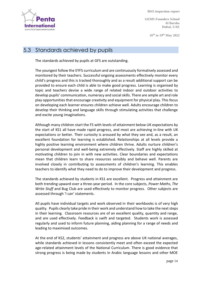

**GEMS Founders School Al Barsha Dubai, UAE**

**16th to 19 th May 2022**

## 5.3 Standards achieved by pupils

The standards achieved by pupils at GFS are outstanding.

The youngest follow the EYFS curriculum and are continuously formatively assessed and monitored by their teachers. Successful ongoing assessments effectively monitor every child's progress and this is tracked thoroughly and as a result additional support can be provided to ensure each child is able to make good progress. Learning is organised by topic and teachers devise a wide range of related indoor and outdoor activities to develop pupils' communication, numeracy and social skills. There are ample art and role play opportunities that encourage creativity and equipment for physical play. This focus on developing each learner ensures children achieve well. Adults encourage children to develop their thinking and language skills through stimulating activities that challenge and excite young imaginations.

Although many children start the FS with levels of attainment below UK expectations by the start of KS1 all have made rapid progress, and most are achieving in-line with UK expectations or better. Their curiosity is aroused by what they see and, as a result, an excellent foundation for learning is established. Relationships at all levels provide a highly positive learning environment where children thrive. Adults nurture children's personal development and well-being extremely effectively. Staff are highly skilled at motivating children to join in with new activities. Clear boundaries and expectations mean that children learn to share resources sensibly and behave well. Parents are involved closely in contributing to assessments of children's learning. This enables teachers to identify what they need to do to improve their development and progress.

The standards achieved by students in KS1 are excellent. Progress and attainment are both trending upward over a three-year period. In the core subjects, *Power Maths*, *The Write Stuff* and Bug Club are used effectively to monitor progress. Other subjects are assessed through 'I can' statements.

All pupils have individual targets and work observed in their workbooks is of very high quality. Pupils clearly take pride in their work and understand how to take the next steps in their learning. Classroom resources are of an excellent quality, quantity and range, and are used effectively. Feedback is swift and targeted. Students work is assessed regularly and used to inform future planning, aiding planning for a range of needs and leading to maximised outcomes.

At the end of KS2, students' attainment and progress are above UK national averages, while standards achieved in lessons consistently meet and often exceed the expected age-related attainment levels of the National Curriculum. There is good evidence that strong progress is being made by students in Arabic language lessons and other MOE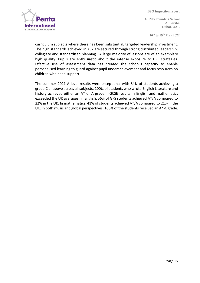

**GEMS Founders School Al Barsha Dubai, UAE**

**16th to 19 th May 2022**

curriculum subjects where there has been substantial, targeted leadership investment. The high standards achieved in KS2 are secured through strong distributed leadership, collegiate and standardised planning. A large majority of lessons are of an exemplary high quality. Pupils are enthusiastic about the intense exposure to HPL strategies. Effective use of assessment data has created the school's capacity to enable personalised learning to guard against pupil underachievement and focus resources on children who need support.

The summer 2021 A level results were exceptional with 84% of students achieving a grade C or above across all subjects. 100% of students who wrote English Literature and history achieved either an A\* or A grade. IGCSE results in English and mathematics exceeded the UK averages. In English, 56% of GFS students achieved A\*/A compared to 22% in the UK. In mathematics, 41% of students achieved A\*/A compared to 21% in the UK. In both music and global perspectives, 100% of the students received an A\*-C grade.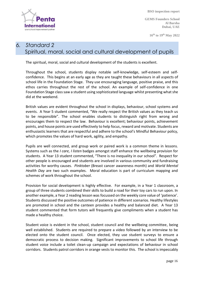

**GEMS Founders School Al Barsha Dubai, UAE**

**16th to 19 th May 2022**

# *6. Standard 2*  Spiritual, moral, social and cultural development of pupils

The spiritual, moral, social and cultural development of the students is excellent.

Throughout the school, students display notable self-knowledge, self-esteem and selfconfidence. This begins at an early age as they are taught these behaviours in all aspects of school life in the Foundation Stage. They use encouraging language, positive praise, and this ethos carries throughout the rest of the school. An example of self-confidence in one Foundation Stage class saw a student using sophisticated language whilst presenting what she did at the weekend.

British values are evident throughout the school in displays, behaviour, school systems and events. A Year 5 student commented, "We really respect the British values as they teach us to be responsible". The school enables students to distinguish right from wrong and encourages them to respect the law. Behaviour is excellent; behaviour points, achievement points, and house points are used effectively to help focus, reward and motivate. Students are enthusiastic learners that are respectful and adhere to the school's Mindful Behaviour policy, which promotes the values of hard work, agility, and empathy.

Pupils are well connected, and group work or paired work is a common theme in lessons. Systems such as the *I care, I listen* badges amongst staff enhance the wellbeing provision for students. A Year 13 student commented, "There is no inequality in our school". Respect for other people is encouraged and students are involved in various community and fundraising activities for worthy causes. *Pinktober* (Breast cancer awareness month) and *World Mental Health Day* are two such examples. Moral education is part of curriculum mapping and schemes of work throughout the school.

Provision for social development is highly effective. For example, in a Year 1 classroom, a group of three students combined their skills to build a road for their toy cars to run upon. In another example, a Year 2 reading lesson was focussed on the weekly core value of 'patience'. Students discussed the positive outcomes of patience in different scenarios. Healthy lifestyles are promoted in school and the canteen provides a healthy and balanced diet. A Year 13 student commented that form tutors will frequently give compliments when a student has made a healthy choice.

Student voice is evident in the school, student council and the wellbeing committee, being well established. Students are required to prepare a video followed by an interview to be elected onto the student council. Once elected, they use student surveys to ensure a democratic process to decision making. Significant improvements to school life through student voice include a toilet clean-up campaign and expectations of behaviour in school corridors. Students patrol corridors in orange vests to monitor this. The school is impeccably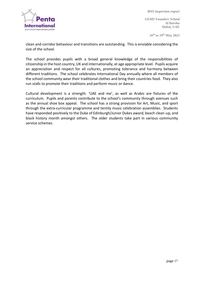

**GEMS Founders School Al Barsha Dubai, UAE**

**16th to 19 th May 2022**

clean and corridor behaviour and transitions are outstanding. This is enviable considering the size of the school.

The school provides pupils with a broad general knowledge of the responsibilities of citizenship in the host country, UK and internationally, at age appropriate level. Pupils acquire an appreciation and respect for all cultures, promoting tolerance and harmony between different traditions. The school celebrates International Day annually where all members of the school community wear their traditional clothes and bring their countries food. They also run stalls to promote their traditions and perform music or dance.

Cultural development is a strength. 'UAE and me', as well as Arabic are fixtures of the curriculum. Pupils and parents contribute to the school's community through avenues such as the annual shoe box appeal. The school has a strong provision for Art, Music, and sport through the extra-curricular programme and termly music celebration assemblies. Students have responded positively to the Duke of Edinburgh/Junior Dukes award, beach clean-up, and black history month amongst others. The older students take part in various community service schemes.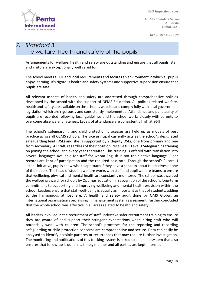**GEMS Founders School Al Barsha Dubai, UAE**

**16th to 19 th May 2022**



## *7. Standard 3* The welfare, health and safety of the pupils

Arrangements for welfare, health and safety are outstanding and ensure that all pupils, staff and visitors are exceptionally well cared for.

The school meets all UK and local requirements and secures an environment in which all pupils enjoy learning. It's rigorous health and safety systems and supportive supervision ensure that pupils are safe.

All relevant aspects of health and safety are addressed through comprehensive policies developed by the school with the support of GEMS Education. All policies related welfare, health and safety are available on the school's website and comply fully with local government legislation which are rigorously and consistently implemented. Attendance and punctuality of pupils are recorded following local guidelines and the school works closely with parents to overcome absence and lateness. Levels of attendance are consistently high at 96%.

The school's safeguarding and child protection processes are held up as models of best practice across all GEMS schools. The vice principal currently acts as the school's designated safeguarding lead (DSL) and she is supported by 2 deputy DSLs, one from primary and one from secondary. All staff, regardless of their position, receive full Level 1 Safeguarding training on joining the school and every year thereafter. This training is offered with translation into several languages available for staff for whom English is not their native language. Clear records are kept of participation and the required pass rate. Through the school's "I care, I listen" initiative, pupils know who to approach if they have a concern about themselves or one of their peers. The head of student welfare works with staff and pupil welfare teams to ensure that wellbeing, physical and mental health are constantly monitored. The school was awarded the wellbeing award for schools by Optimus Education in recognition of the school's long-term commitment to supporting and improving wellbeing and mental health provision within the school. Leaders ensure that staff well-being is equally as important as that of students, adding to the harmonious atmosphere. A health and safety audit done by QMS Global, an international organisation specialising in management system assessment, further concluded that the whole school was effective in all areas related to health and safety.

All leaders involved in the recruitment of staff undertake safer recruitment training to ensure they are aware of and support their stringent expectations when hiring staff who will potentially work with children. The school's processes for the reporting and recording safeguarding or child protection concerns are comprehensive and secure. Data can easily be analysed to identify possible patterns or recurrences that may require further investigation. The monitoring and notifications of this tracking system is linked to an online system that also ensures that follow-up is done in a timely manner and all parties are kept informed.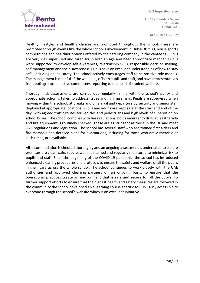

**GEMS Founders School Al Barsha Dubai, UAE**

**16th to 19 th May 2022**

Healthy lifestyles and healthy choices are promoted throughout the school. These are promoted through events like the whole school's involvement in Dubai 30 x 30, house sports competitions and healthier options offered by the catering company in the canteens. Pupils are very well supervised and cared for in both an age and need appropriate manner. Pupils were supported to develop self-awareness, relationship skills, responsible decision making, self-management and social awareness. Pupils have an excellent understanding of how to stay safe, including online safety. The school actively encourages staff to be positive role models. The management is mindful of the wellbeing of both pupils and staff, and have representatives from both groups on active committees reporting to the head of student welfare.

Thorough risk assessments are carried out regularly in line with the school's policy and appropriate action is taken to address issues and minimise risks. Pupils are supervised when moving within the school, at breaks and on arrival and departure by security and senior staff deployed at appropriate locations. Pupils and adults are kept safe at the start and end of the day, with agreed traffic routes for vehicles and pedestrians and high levels of supervision on school buses. The school complies with fire regulations, holds emergency drills at least termly and fire equipment is routinely checked. These are as stringent as those in the UK and meet UAE regulations and legislation. The school has several staff who are trained first aiders and fire marshals and detailed plans for evacuations, including for those who are vulnerable at such times, are available.

All accommodation is checked thoroughly and an ongoing assessment is undertaken to ensure premises are clean, safe, secure, well maintained and regularly monitored to minimize risk to pupils and staff. Since the beginning of the COVID-19 pandemic, the school has introduced enhanced cleaning procedures and protocols to ensure the safety and welfare of all the pupils in their care across the whole school. The school continues to work closely with the UAE authorities and approved cleaning partners on an ongoing basis, to ensure that the operational practices create an environment that is safe and secure for all the pupils. To further support efforts to ensure that the highest health and safety measures are followed in the community the school developed an eLearning course specific to COVID-19, accessible to everyone through the school's website which is an excellent initiative.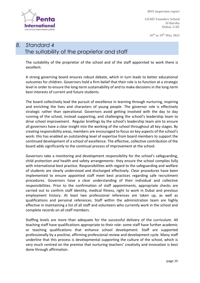**GEMS Founders School Al Barsha Dubai, UAE**

**16th to 19 th May 2022**

# *8. Standard 4* The suitability of the proprietor and staff

The suitability of the proprietor of the school and of the staff appointed to work there is excellent.

A strong governing board ensures robust debate, which in turn leads to better educational outcomes for children. Governors hold a firm belief that their role is to function at a strategic level in order to ensure the long-term sustainability of and to make decisions in the long-term best interests of current and future students.

The board collectively lead the pursuit of excellence in learning through nurturing, inspiring and enriching the lives and characters of young people. The governor role is effectively strategic rather than operational. Governors avoid getting involved with the day to day running of the school, instead supporting, and challenging the school's leadership team to drive school improvement. Regular briefings by the school's leadership team aim to ensure all governors have a clear insight into the working of the school throughout all key stages. By creating responsibility areas, members are encouraged to focus on key aspects of the school's work: this has enabled an outstanding level of expertise from board members to support the continued development of a school of excellence. The effective, collective contribution of the board adds significantly to the continual process of improvement at the school.

Governors take a monitoring and development responsibility for the school's safeguarding, child protection and health and safety arrangements: they ensure the school complies fully with international best practice. Responsibilities with regard to the safeguarding and welfare of students are clearly understood and discharged effectively. Clear procedures have been implemented to ensure appointed staff meet best practices regarding safe recruitment procedures. Governors have a clear understanding of their individual and collective responsibilities. Prior to the confirmation of staff appointments, appropriate checks are carried out to confirm staff identity, medical fitness, right to work in Dubai and previous employment history. At least two professional references are taken up, as well as qualifications and personal references. Staff within the administration team are highly effective in maintaining a list of all staff and volunteers who currently work in the school and complete records on all staff members.

Staffing levels are more than adequate for the successful delivery of the curriculum. All teaching staff have qualifications appropriate to their role: some staff have further academic or teaching qualifications that enhance school development. Staff are supported professionally by a positive, affirming professional review and development cycle. Many staff underline that this process is developmental supporting the culture of the school, which is very much centred on the premise that nurturing teachers' creativity and innovation is best done through affirmation.

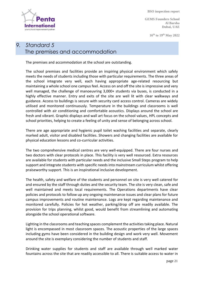**GEMS Founders School**

**16th to 19 th May 2022**

**Al Barsha Dubai, UAE**

# *9. Standard 5* The premises and accommodation

The premises and accommodation at the school are outstanding.

The school premises and facilities provide an inspiring physical environment which safely meets the needs of students including those with particular requirements. The three areas of the school integrate very well, each having appropriate age-related resourcing but maintaining a whole school one campus feel. Access on and off the site is impressive and very well managed, the challenge of manoeuvring 3,000+ students via buses, is conducted in a highly effective manner. Entry and exits of the site are well lit with clear walkways and guidance. Access to buildings is secure with security card access control. Cameras are widely utilised and monitored continuously. Temperature in the buildings and classrooms is well controlled with air conditioning and comfortable acoustics. Displays around the school are fresh and vibrant. Graphic displays and wall art focus on the school values, HPL concepts and school priorities, helping to create a feeling of unity and sense of belonging across school.

There are age appropriate and hygienic pupil toilet washing facilities and separate, clearly marked adult, visitor and disabled facilities. Showers and changing facilities are available for physical education lessons and co-curricular activities.

The two comprehensive medical centres are very well-equipped. There are four nurses and two doctors with clear protocols in place. This facility is very well resourced. Extra resources are available for students with particular needs and the inclusive Small Steps program to help support and integrate students with specific needs into mainstream curriculum whilst offering praiseworthy support. This is an inspirational inclusive development.

The health, safety and welfare of the students and personnel on site is very well catered for and ensured by the staff through duties and the security team. The site is very clean, safe and well maintained and meets local requirements. The Operations departments have clear policies and protocols to follow up any ongoing maintenance issues and clear plans for future campus improvements and routine maintenance. Logs are kept regarding maintenance and monitored carefully. Policies for hot weather, parking/drop off are readily available. The provision for trips planning, whilst good, would benefit from streamlining and automating alongside the school operational software.

Lighting in the classrooms and teaching spaces complement the activities taking place. Natural light is encompassed in most classroom spaces. The acoustic properties of the large spaces including gyms have been considered in the building design and work very well. Movement around the site is exemplary considering the number of students and staff.

Drinking water supplies for students and staff are available through well marked water fountains across the site that are readily accessible to all. There is suitable access to water in

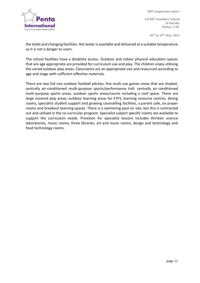



**GEMS Founders School Al Barsha Dubai, UAE**

**16th to 19 th May 2022**

the toilet and changing facilities. Hot water is available and delivered at a suitable temperature so it is not a danger to users.

The school facilities have a disability access. Outdoor and indoor physical education spaces that are age appropriate are provided for curriculum use and play. The children enjoy utilising the varied outdoor play areas. Classrooms are an appropriate size and resourced according to age and stage with sufficient effective materials.

There are two full size outdoor football pitches, five multi use games areas that are shaded, centrally air-conditioned multi-purpose sports/performance hall; centrally air-conditioned multi-purpose sports areas, outdoor sports areas/courts including a roof space. There are large covered play areas; outdoor learning areas for EYFS, learning resource centres, dining rooms, specialist student support and growing counselling facilities, a parent cafe, six prayer rooms and breakout learning spaces. There is a swimming pool on site, but this is contracted out and utilised in the co-curricular program. Specialist subject specific rooms are available to support the curriculum needs. Provision for specialist lessons includes thirteen science laboratories, music rooms, three libraries, art and music rooms, design and technology and food technology rooms.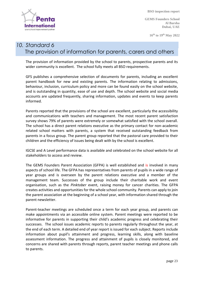

**GEMS Founders School Al Barsha Dubai, UAE**

**16th to 19 th May 2022**

### *10. Standard 6* The provision of information for parents, carers and others

The provision of information provided by the school to parents, prospective parents and its wider community is excellent. The school fully meets all BSO requirements.

GFS publishes a comprehensive selection of documents for parents, including an excellent parent handbook for new and existing parents. The information relating to admissions, behaviour, inclusion, curriculum policy and more can be found easily on the school website, and is outstanding in quantity, ease of use and depth. The school website and social media accounts are updated frequently, sharing information, updates and events to keep parents informed.

Parents reported that the provisions of the school are excellent, particularly the accessibility and communications with teachers and management. The most recent parent satisfaction survey shows 79% of parents were extremely or somewhat satisfied with the school overall. The school has a direct parent relations executive as the primary contact for non-academic related school matters with parents, a system that received outstanding feedback from parents in a focus group. The parent group reported that the pastoral care provided to their children and the efficiency of issues being dealt with by the school is excellent.

IGCSE and A Level performance data is available and celebrated on the school website for all stakeholders to access and review.

The GEMS Founders Parent Association (GFPA) is well established and is involved in many aspects of school life. The GFPA has representatives from parents of pupils in a wide range of year groups and is overseen by the parent relations executive and a member of the management team. Successes of the group include their charitable work and event organisation, such as the *Pinktober* event, raising money for cancer charities. The GFPA creates activities and opportunities for the whole school community. Parents can apply to join the parent association at the beginning of a school year, with information shared through the parent newsletter.

Parent-teacher meetings are scheduled once a term for each year group, and parents can make appointments via an accessible online system. Parent meetings were reported to be informative for parents in supporting their child's academic progress and celebrating their successes. The school issues academic reports to parents regularly throughout the year, at the end of each term. A detailed end of year report is issued for each subject. Reports include information about pupil's attainment and progress, learning skills, along with baseline assessment information. The progress and attainment of pupils is closely monitored, and concerns are shared with parents through reports, parent teacher meetings and phone calls to parents.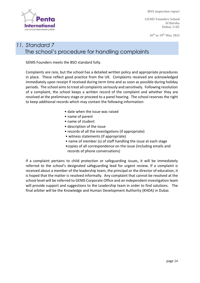**GEMS Founders School Al Barsha Dubai, UAE**

**16th to 19 th May 2022**

# Internati your school improvement partne

### *11. Standard 7* The school's procedure for handling complaints

GEMS Founders meets the BSO standard fully.

Complaints are rare, but the school has a detailed written policy and appropriate procedures in place. These reflect good practice from the UK. Complaints received are acknowledged immediately upon receipt if received during term time and as soon as possible during holiday periods. The school aims to treat all complaints seriously and sensitively. Following resolution of a complaint, the school keeps a written record of the complaint and whether they are resolved at the preliminary stage or proceed to a panel hearing. The school reserves the right to keep additional records which may contain the following information:

- date when the issue was raised
- name of parent
- name of student
- description of the issue
- records of all the investigations (if appropriate)
- witness statements (if appropriate)
- name of member (s) of staff handling the issue at each stage
- •copies of all correspondence on the issue (including emails and records of phone conversations)

If a complaint pertains to child protection or safeguarding issues, it will be immediately referred to the school's designated safeguarding lead for urgent review. If a complaint is received about a member of the leadership team, the principal or the director of education, it is hoped that the matter is resolved informally. Any complaint that cannot be resolved at the school level will be referred to GEMS Corporate Office and an independent investigation team will provide support and suggestions to the Leadership team in order to find solutions. The final arbiter will be the Knowledge and Human Development Authority (KHDA) in Dubai.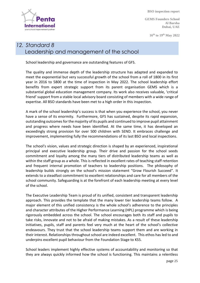**Internat** your school improvement partne

 **BSO inspection report**

**GEMS Founders School Al Barsha Dubai, UAE**

**16th to 19 th May 2022**

# *12. Standard 8* Leadership and management of the school

School leadership and governance are outstanding features of GFS.

The quality and immense depth of the leadership structure has adapted and expanded to meet the exponential but very successful growth of the school from a roll of 1800 in its first year in 2016 to 5800 at the time of inspection in May 2022. The school leadership effort benefits from expert strategic support from its parent organisation GEMS which is a substantial global education management company. Its work also receives valuable, 'critical friend' support from a stable local advisory board consisting of members with a wide range of expertise. All BSO standards have been met to a high order in this inspection.

A mark of the school leadership's success is that when you experience the school, you never have a sense of its enormity. Furthermore, GFS has sustained, despite its rapid expansion, outstanding outcomes for the majority of its pupils and continued to improve pupil attainment and progress where needs have been identified. At the same time, it has developed an exceedingly strong provision for over 500 children with SEND. It embraces challenge and improvement, implementing fully the recommendations of its last BSO and local inspections.

The school's vision, values and strategic direction is shaped by an experienced, inspirational principal and executive leadership group. Their drive and passion for the school seeds commitment and loyalty among the many tiers of distributed leadership teams as well as within the staff group as a whole. This is reflected in excellent rates of teaching staff retention and frequent internal promotion of teachers to leadership positions. The philosophy of leadership builds strongly on the school's mission statement "Grow Flourish Succeed". It extends to a steadfast commitment to excellent relationships and care for all members of the school community. Safeguarding is at the forefront of each leadership meeting at every level of the school.

The Executive Leadership Team is proud of its unified, consistent and transparent leadership approach. This provides the template that the many lower tier leadership teams follow. A major element of this unified consistency is the whole school's adherence to the principles and character attributes of the Higher Performance Learning (HPL) programme which is being rigorously embedded across the school. The school encourages both its staff and pupils to take risks, innovate and not to be afraid of making mistakes. As a result of these leadership initiatives, pupils, staff and parents feel very much at the heart of the school's collective endeavours. They trust that the school leadership teams support them and are working in their interest. Relationships throughout school are indeed excellent. This ethos has led to and underpins excellent pupil behaviour from the Foundation Stage to KS5.

School leaders implement highly effective systems of accountability and monitoring so that they are always quickly informed how the school is functioning. This maintains a relentless